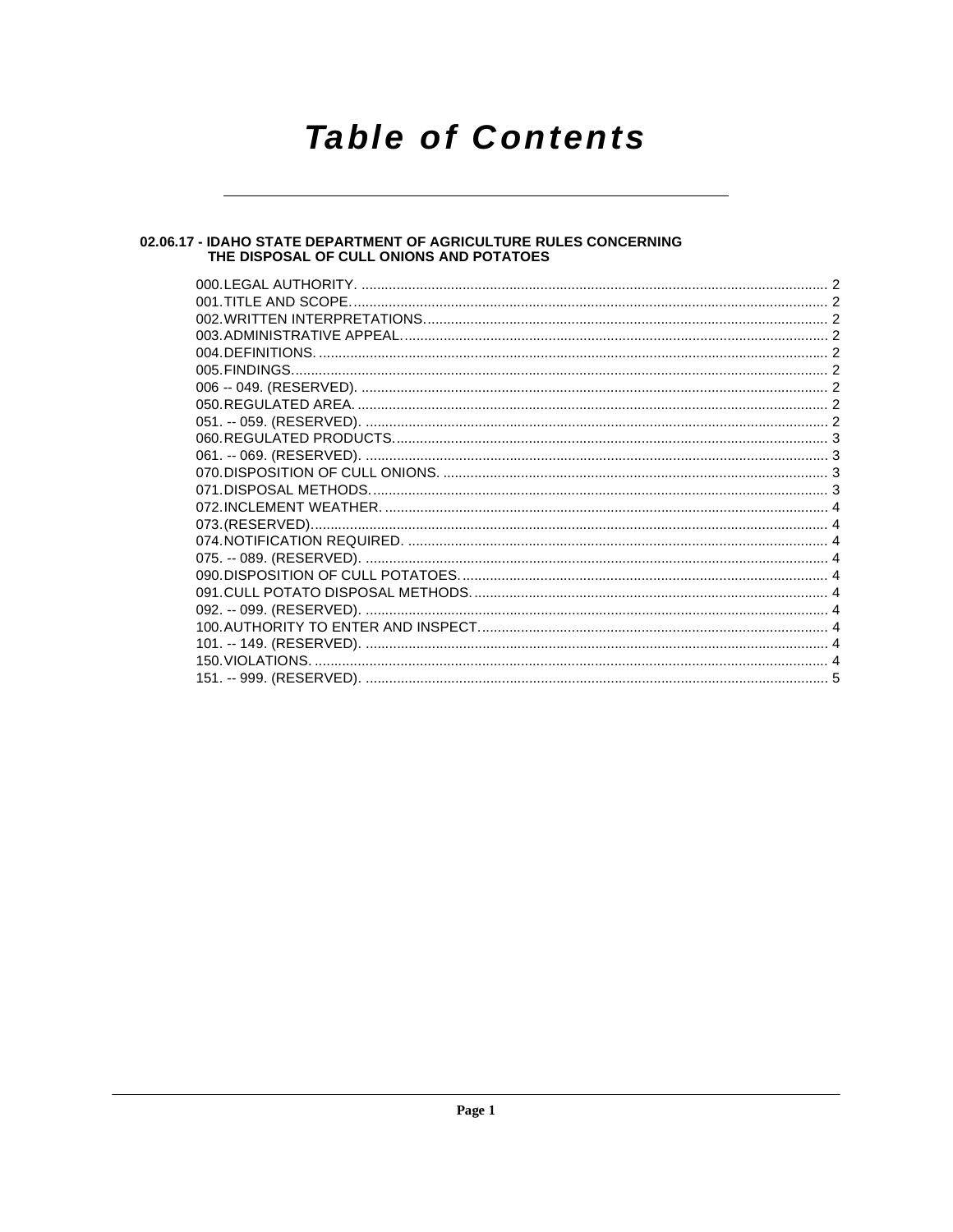# **Table of Contents**

# 02.06.17 - IDAHO STATE DEPARTMENT OF AGRICULTURE RULES CONCERNING<br>THE DISPOSAL OF CULL ONIONS AND POTATOES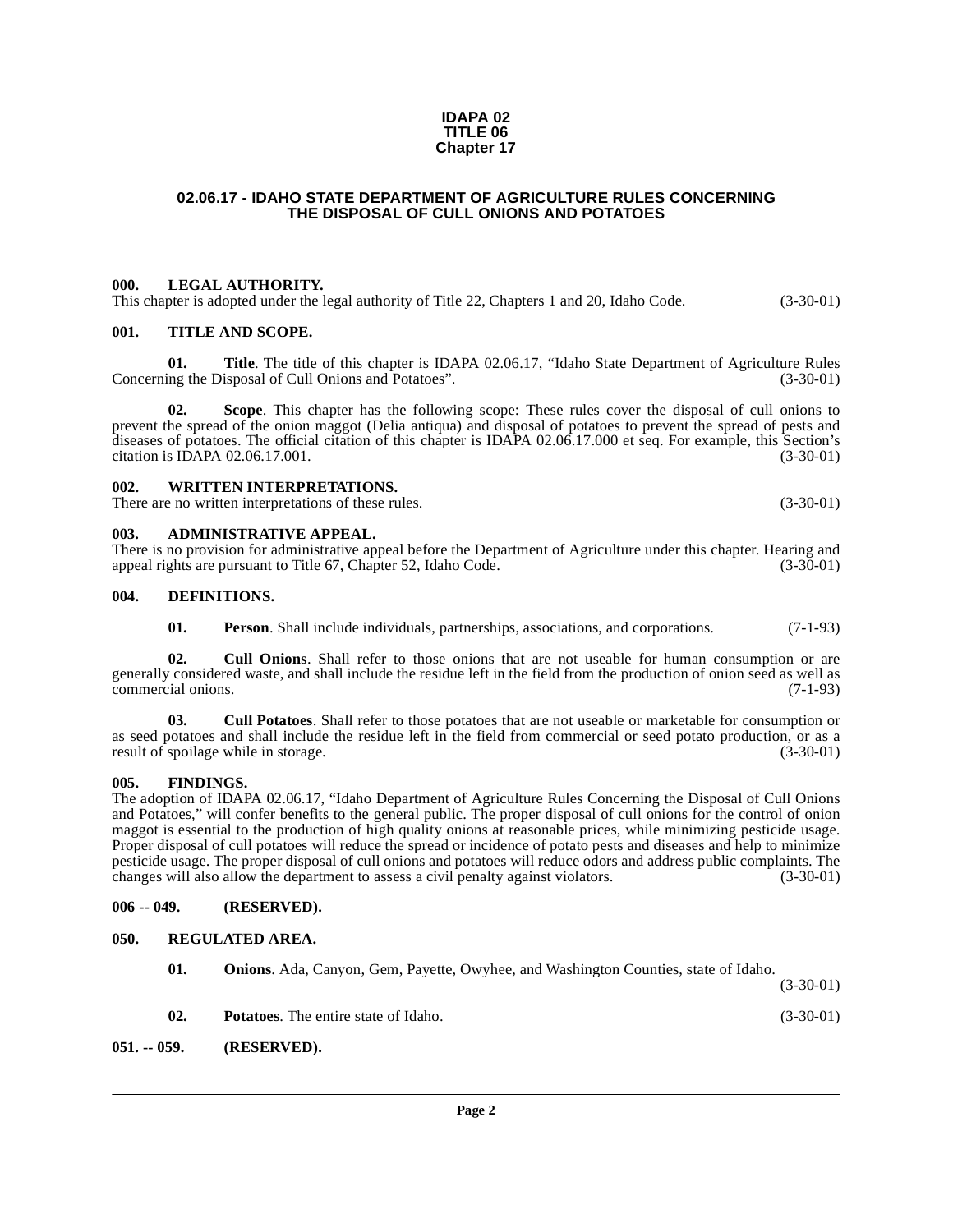#### **IDAPA 02 TITLE 06 Chapter 17**

#### <span id="page-1-0"></span>**02.06.17 - IDAHO STATE DEPARTMENT OF AGRICULTURE RULES CONCERNING THE DISPOSAL OF CULL ONIONS AND POTATOES**

#### <span id="page-1-1"></span>**000. LEGAL AUTHORITY.**

This chapter is adopted under the legal authority of Title 22, Chapters 1 and 20, Idaho Code. (3-30-01)

#### <span id="page-1-2"></span>**001. TITLE AND SCOPE.**

**01. Title**. The title of this chapter is IDAPA 02.06.17, "Idaho State Department of Agriculture Rules ing the Disposal of Cull Onions and Potatoes". (3-30-01) Concerning the Disposal of Cull Onions and Potatoes".

**02. Scope**. This chapter has the following scope: These rules cover the disposal of cull onions to prevent the spread of the onion maggot (Delia antiqua) and disposal of potatoes to prevent the spread of pests and diseases of potatoes. The official citation of this chapter is IDAPA 02.06.17.000 et seq. For example, this Section's citation is IDAPA 02.06.17.001. (3-30-01)

### <span id="page-1-3"></span>**002. WRITTEN INTERPRETATIONS.**

There are no written interpretations of these rules. (3-30-01) (3-30-01)

#### <span id="page-1-4"></span>**003. ADMINISTRATIVE APPEAL.**

There is no provision for administrative appeal before the Department of Agriculture under this chapter. Hearing and appeal rights are pursuant to Title 67, Chapter 52, Idaho Code. (3-30-01)

#### <span id="page-1-5"></span>**004. DEFINITIONS.**

<span id="page-1-12"></span><span id="page-1-11"></span><span id="page-1-10"></span>**01. Person**. Shall include individuals, partnerships, associations, and corporations. (7-1-93)

**02. Cull Onions**. Shall refer to those onions that are not useable for human consumption or are generally considered waste, and shall include the residue left in the field from the production of onion seed as well as commercial onions. (7-1-93)

**03. Cull Potatoes**. Shall refer to those potatoes that are not useable or marketable for consumption or as seed potatoes and shall include the residue left in the field from commercial or seed potato production, or as a result of spoilage while in storage. (3-30-01) result of spoilage while in storage.

#### <span id="page-1-6"></span>**005. FINDINGS.**

The adoption of IDAPA 02.06.17, "Idaho Department of Agriculture Rules Concerning the Disposal of Cull Onions and Potatoes," will confer benefits to the general public. The proper disposal of cull onions for the control of onion maggot is essential to the production of high quality onions at reasonable prices, while minimizing pesticide usage. Proper disposal of cull potatoes will reduce the spread or incidence of potato pests and diseases and help to minimize pesticide usage. The proper disposal of cull onions and potatoes will reduce odors and address public complaints. The changes will also allow the department to assess a civil penalty against violators. (3-30-01)

#### <span id="page-1-7"></span>**006 -- 049. (RESERVED).**

#### <span id="page-1-15"></span><span id="page-1-8"></span>**050. REGULATED AREA.**

<span id="page-1-14"></span><span id="page-1-13"></span><span id="page-1-9"></span>

| 02. | <b>Potatoes.</b> The entire state of Idaho.                                                | $(3-30-01)$ |
|-----|--------------------------------------------------------------------------------------------|-------------|
| 01. | <b>Onions.</b> Ada, Canyon, Gem, Payette, Owyhee, and Washington Counties, state of Idaho. | $(3-30-01)$ |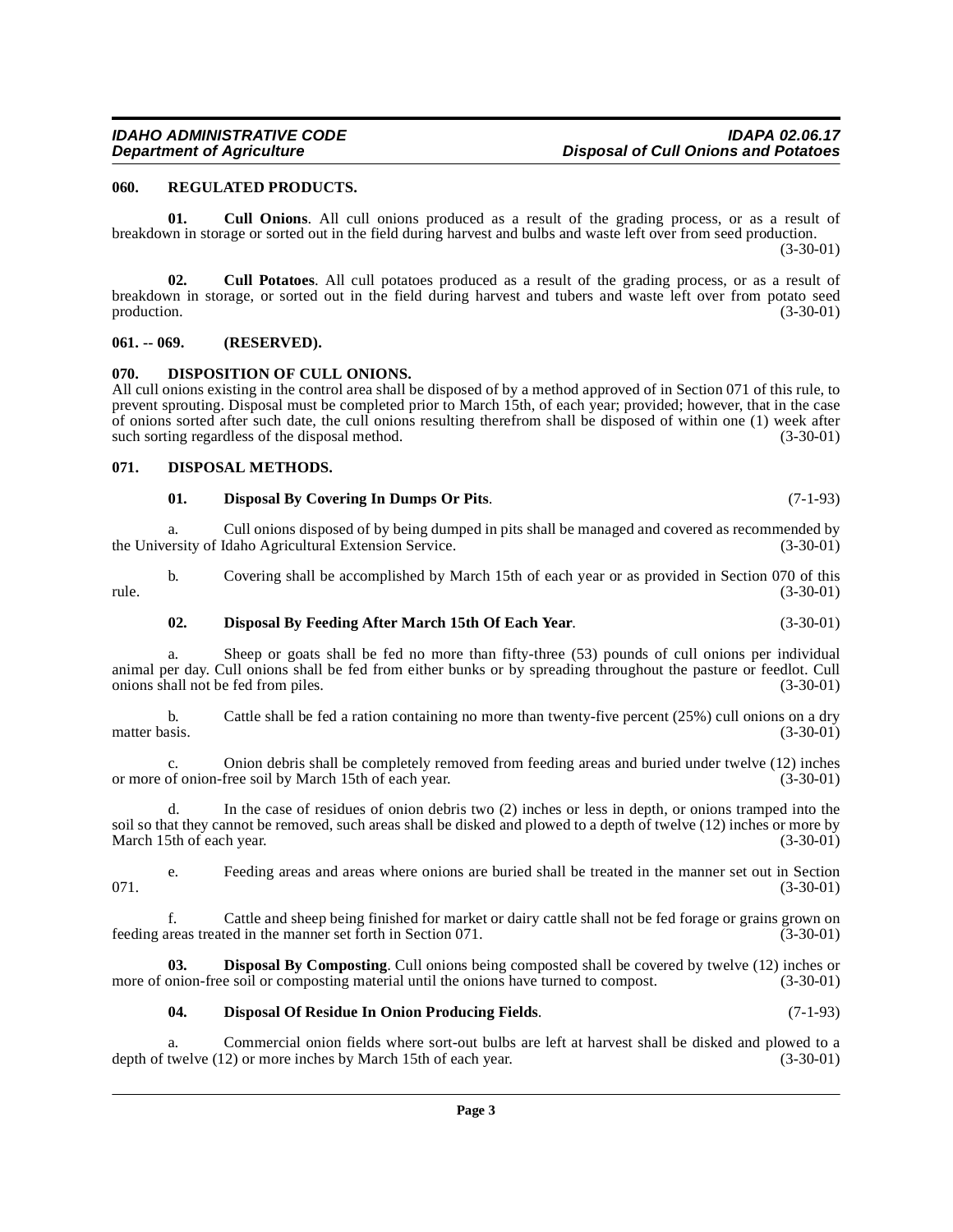# <span id="page-2-9"></span><span id="page-2-2"></span><span id="page-2-1"></span>**070. DISPOSITION OF CULL ONIONS.**

<span id="page-2-0"></span>**060. REGULATED PRODUCTS.** 

All cull onions existing in the control area shall be disposed of by a method approved of in Section 071 of this rule, to prevent sprouting. Disposal must be completed prior to March 15th, of each year; provided; however, that in the case of onions sorted after such date, the cull onions resulting therefrom shall be disposed of within one (1) week after such sorting regardless of the disposal method. (3-30-01) such sorting regardless of the disposal method.

breakdown in storage, or sorted out in the field during harvest and tubers and waste left over from potato seed production. (3-30-01)

<span id="page-2-10"></span>**01. Cull Onions**. All cull onions produced as a result of the grading process, or as a result of

**02. Cull Potatoes**. All cull potatoes produced as a result of the grading process, or as a result of

breakdown in storage or sorted out in the field during harvest and bulbs and waste left over from seed production.

# <span id="page-2-3"></span>**071. DISPOSAL METHODS.**

### <span id="page-2-7"></span><span id="page-2-5"></span>**01. Disposal By Covering In Dumps Or Pits**. (7-1-93)

a. Cull onions disposed of by being dumped in pits shall be managed and covered as recommended by ersity of Idaho Agricultural Extension Service. the University of Idaho Agricultural Extension Service.

b. Covering shall be accomplished by March 15th of each year or as provided in Section 070 of this rule. (3-30-01)

# <span id="page-2-6"></span>**02. Disposal By Feeding After March 15th Of Each Year**. (3-30-01)

a. Sheep or goats shall be fed no more than fifty-three (53) pounds of cull onions per individual animal per day. Cull onions shall be fed from either bunks or by spreading throughout the pasture or feedlot. Cull onions shall not be fed from piles. (3-30-01) onions shall not be fed from piles.

b. Cattle shall be fed a ration containing no more than twenty-five percent (25%) cull onions on a dry matter basis. (3-30-01) matter basis. (3-30-01)

c. Onion debris shall be completely removed from feeding areas and buried under twelve (12) inches of onion-free soil by March 15th of each year. (3-30-01) or more of onion-free soil by March 15th of each year.

d. In the case of residues of onion debris two (2) inches or less in depth, or onions tramped into the soil so that they cannot be removed, such areas shall be disked and plowed to a depth of twelve (12) inches or more by March 15th of each year. (3-30-01)

e. Feeding areas and areas where onions are buried shall be treated in the manner set out in Section  $071.$  (3-30-01)

f. Cattle and sheep being finished for market or dairy cattle shall not be fed forage or grains grown on feeding areas treated in the manner set forth in Section 071. (3-30-01)

**03. Disposal By Composting**. Cull onions being composted shall be covered by twelve (12) inches or more of onion-free soil or composting material until the onions have turned to compost. (3-30-01)

# <span id="page-2-8"></span><span id="page-2-4"></span>**04. Disposal Of Residue In Onion Producing Fields**. (7-1-93)

a. Commercial onion fields where sort-out bulbs are left at harvest shall be disked and plowed to a twelve (12) or more inches by March 15th of each year. (3-30-01) depth of twelve  $(12)$  or more inches by March 15th of each year.

#### **IDAHO ADMINISTRATIVE CODE IDAPA 02.06.17 Disposal of Cull Onions and Potatoes**

(3-30-01)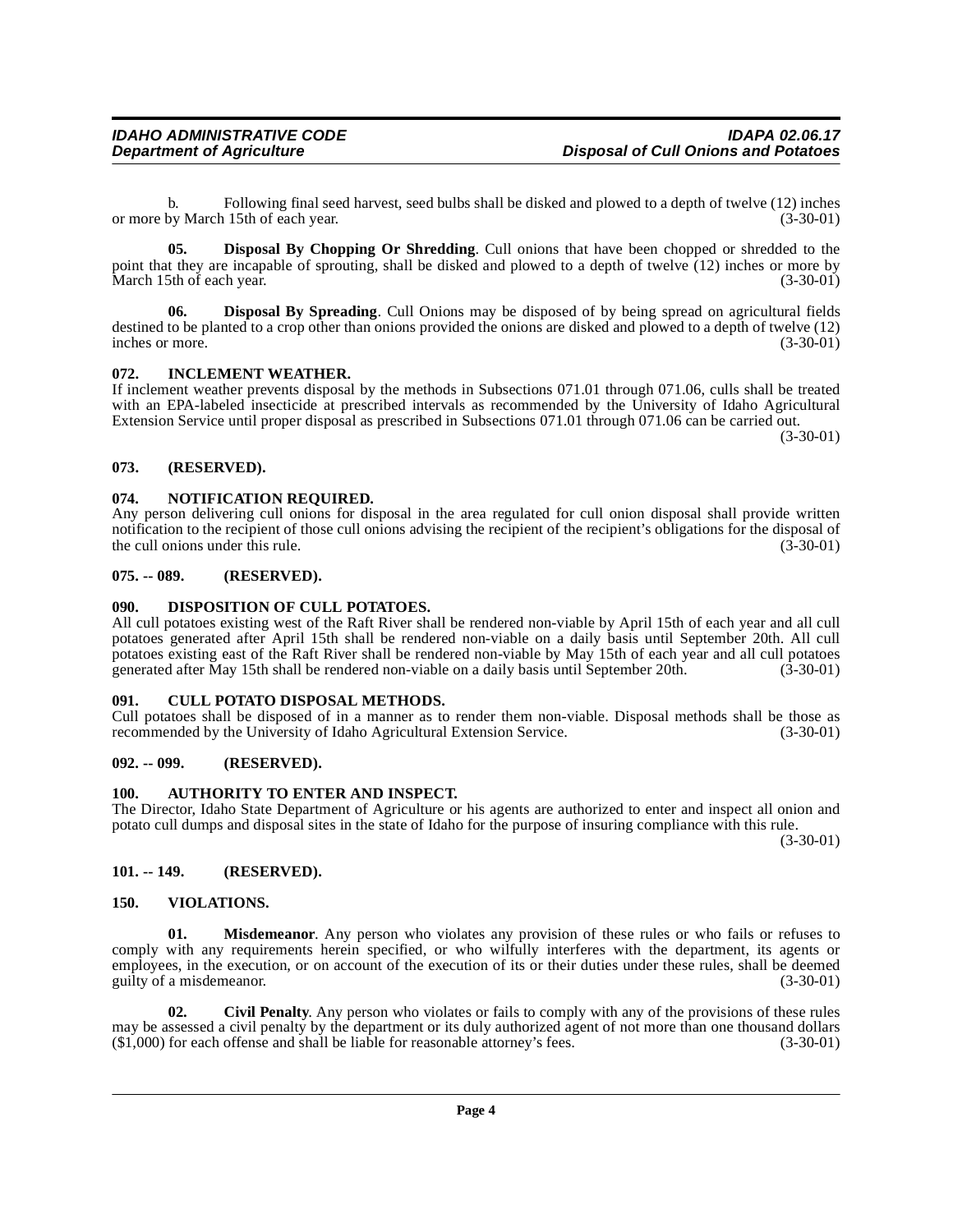b. Following final seed harvest, seed bulbs shall be disked and plowed to a depth of twelve (12) inches or more by March 15th of each year.

<span id="page-3-12"></span>**05. Disposal By Chopping Or Shredding**. Cull onions that have been chopped or shredded to the point that they are incapable of sprouting, shall be disked and plowed to a depth of twelve (12) inches or more by<br>March 15th of each vear. (3-30-01) March 15th of each year.

<span id="page-3-13"></span>**06. Disposal By Spreading**. Cull Onions may be disposed of by being spread on agricultural fields destined to be planted to a crop other than onions provided the onions are disked and plowed to a depth of twelve (12) inches or more. (3-30-01)

#### <span id="page-3-15"></span><span id="page-3-0"></span>**072. INCLEMENT WEATHER.**

If inclement weather prevents disposal by the methods in Subsections 071.01 through 071.06, culls shall be treated with an EPA-labeled insecticide at prescribed intervals as recommended by the University of Idaho Agricultural Extension Service until proper disposal as prescribed in Subsections 071.01 through 071.06 can be carried out.

(3-30-01)

#### <span id="page-3-1"></span>**073. (RESERVED).**

#### <span id="page-3-16"></span><span id="page-3-2"></span>**074. NOTIFICATION REQUIRED.**

Any person delivering cull onions for disposal in the area regulated for cull onion disposal shall provide written notification to the recipient of those cull onions advising the recipient of the recipient's obligations for the disposal of the cull onions under this rule. (3-30-01) the cull onions under this rule.

#### <span id="page-3-3"></span>**075. -- 089. (RESERVED).**

#### <span id="page-3-14"></span><span id="page-3-4"></span>**090. DISPOSITION OF CULL POTATOES.**

All cull potatoes existing west of the Raft River shall be rendered non-viable by April 15th of each year and all cull potatoes generated after April 15th shall be rendered non-viable on a daily basis until September 20th. All cull potatoes existing east of the Raft River shall be rendered non-viable by May 15th of each year and all cull potatoes generated after May 15th shall be rendered non-viable on a daily basis until September 20th. (3-30-01)

#### <span id="page-3-11"></span><span id="page-3-5"></span>**091. CULL POTATO DISPOSAL METHODS.**

Cull potatoes shall be disposed of in a manner as to render them non-viable. Disposal methods shall be those as recommended by the University of Idaho Agricultural Extension Service. (3-30-01) recommended by the University of Idaho Agricultural Extension Service.

#### <span id="page-3-6"></span>**092. -- 099. (RESERVED).**

#### <span id="page-3-10"></span><span id="page-3-7"></span>**100. AUTHORITY TO ENTER AND INSPECT.**

The Director, Idaho State Department of Agriculture or his agents are authorized to enter and inspect all onion and potato cull dumps and disposal sites in the state of Idaho for the purpose of insuring compliance with this rule.

(3-30-01)

#### <span id="page-3-8"></span>**101. -- 149. (RESERVED).**

#### <span id="page-3-17"></span><span id="page-3-9"></span>**150. VIOLATIONS.**

**01. Misdemeanor**. Any person who violates any provision of these rules or who fails or refuses to comply with any requirements herein specified, or who wilfully interferes with the department, its agents or employees, in the execution, or on account of the execution of its or their duties under these rules, shall be deemed guilty of a misdemeanor. (3-30-01)

**02. Civil Penalty**. Any person who violates or fails to comply with any of the provisions of these rules may be assessed a civil penalty by the department or its duly authorized agent of not more than one thousand dollars (\$1,000) for each offense and shall be liable for reasonable attorney's fees. (3-30-01)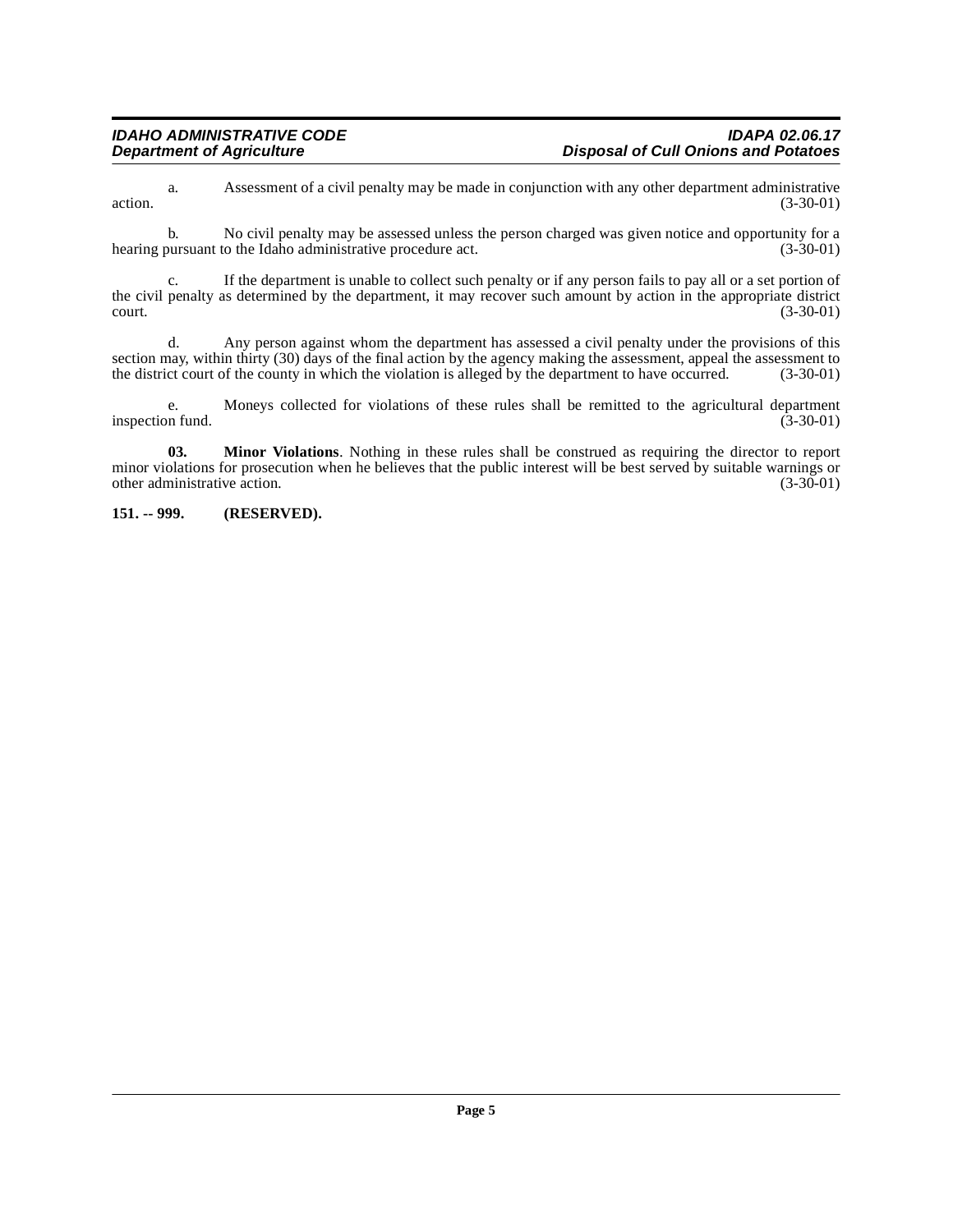a. Assessment of a civil penalty may be made in conjunction with any other department administrative  $\alpha$  action.  $(3-30-01)$ 

b. No civil penalty may be assessed unless the person charged was given notice and opportunity for a bursuant to the Idaho administrative procedure act. (3-30-01) hearing pursuant to the Idaho administrative procedure act.

c. If the department is unable to collect such penalty or if any person fails to pay all or a set portion of the civil penalty as determined by the department, it may recover such amount by action in the appropriate district court. (3-30-01)  $\frac{1}{3}$  (3-30-01) (3-30-01)

d. Any person against whom the department has assessed a civil penalty under the provisions of this section may, within thirty (30) days of the final action by the agency making the assessment, appeal the assessment to the district court of the county in which the violation is alleged by the department to have occurred. the district court of the county in which the violation is alleged by the department to have occurred.

e. Moneys collected for violations of these rules shall be remitted to the agricultural department inspection fund.

**03. Minor Violations**. Nothing in these rules shall be construed as requiring the director to report minor violations for prosecution when he believes that the public interest will be best served by suitable warnings or other administrative action. (3-30-01) other administrative action.

<span id="page-4-0"></span>**151. -- 999. (RESERVED).**